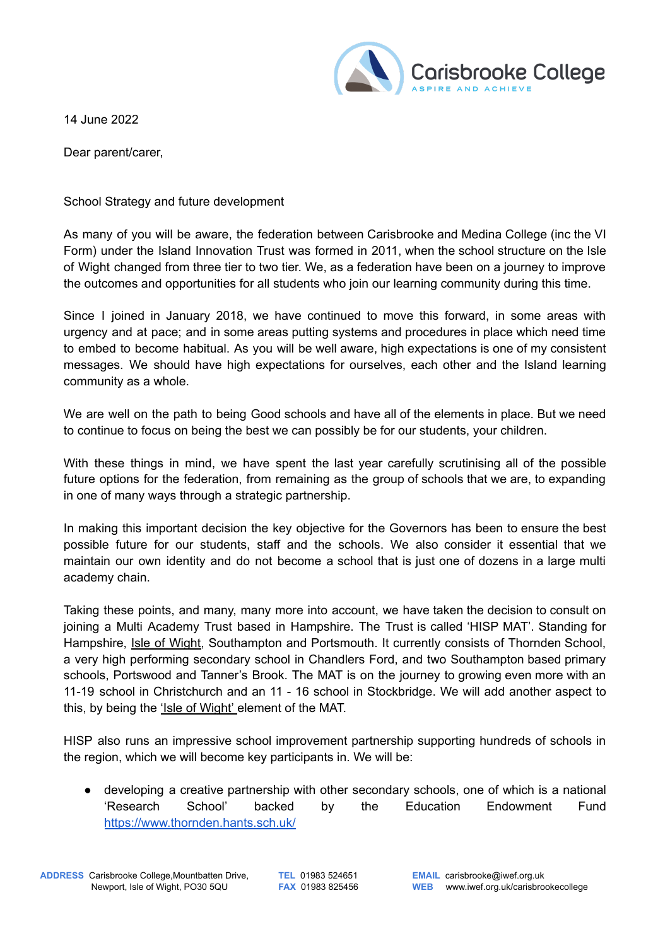

14 June 2022

Dear parent/carer,

School Strategy and future development

As many of you will be aware, the federation between Carisbrooke and Medina College (inc the VI Form) under the Island Innovation Trust was formed in 2011, when the school structure on the Isle of Wight changed from three tier to two tier. We, as a federation have been on a journey to improve the outcomes and opportunities for all students who join our learning community during this time.

Since I joined in January 2018, we have continued to move this forward, in some areas with urgency and at pace; and in some areas putting systems and procedures in place which need time to embed to become habitual. As you will be well aware, high expectations is one of my consistent messages. We should have high expectations for ourselves, each other and the Island learning community as a whole.

We are well on the path to being Good schools and have all of the elements in place. But we need to continue to focus on being the best we can possibly be for our students, your children.

With these things in mind, we have spent the last year carefully scrutinising all of the possible future options for the federation, from remaining as the group of schools that we are, to expanding in one of many ways through a strategic partnership.

In making this important decision the key objective for the Governors has been to ensure the best possible future for our students, staff and the schools. We also consider it essential that we maintain our own identity and do not become a school that is just one of dozens in a large multi academy chain.

Taking these points, and many, many more into account, we have taken the decision to consult on joining a Multi Academy Trust based in Hampshire. The Trust is called 'HISP MAT'. Standing for Hampshire, Isle of Wight, Southampton and Portsmouth. It currently consists of Thornden School, a very high performing secondary school in Chandlers Ford, and two Southampton based primary schools, Portswood and Tanner's Brook. The MAT is on the journey to growing even more with an 11-19 school in Christchurch and an 11 - 16 school in Stockbridge. We will add another aspect to this, by being the 'Isle of Wight' element of the MAT.

HISP also runs an impressive school improvement partnership supporting hundreds of schools in the region, which we will become key participants in. We will be:

● developing a creative partnership with other secondary schools, one of which is a national 'Research School' backed by the Education Endowment Fund <https://www.thornden.hants.sch.uk/>